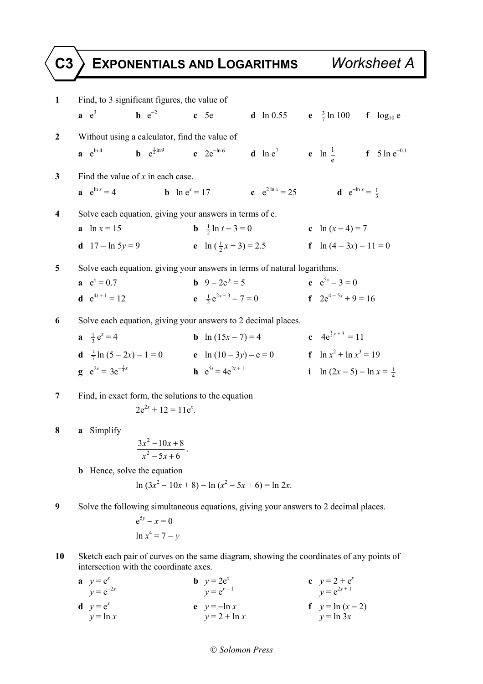## **C3 EXPONENTIALS AND LOGARITHMS** *Worksheet A*

| $\mathbf{1}$   |                                                                                                                                    | Find, to 3 significant figures, the value of                                         |                                      |                                                                                    |  |                                     |  |  |
|----------------|------------------------------------------------------------------------------------------------------------------------------------|--------------------------------------------------------------------------------------|--------------------------------------|------------------------------------------------------------------------------------|--|-------------------------------------|--|--|
|                | a e <sup>3</sup>                                                                                                                   | <b>b</b> $e^{-2}$                                                                    | $c$ 5e                               | <b>d</b> ln 0.55 <b>e</b> $\frac{3}{7}$ ln 100 <b>f</b> log <sub>10</sub> <b>e</b> |  |                                     |  |  |
| $\mathbf{2}$   | Without using a calculator, find the value of                                                                                      |                                                                                      |                                      |                                                                                    |  |                                     |  |  |
|                | $a e^{\ln 4}$                                                                                                                      | <b>b</b> $e^{\frac{1}{2}ln 9}$ <b>c</b> $2e^{-ln 6}$                                 |                                      | <b>d</b> $\ln e^7$ <b>e</b> $\ln \frac{1}{e}$ <b>f</b> $5 \ln e^{-0.1}$            |  |                                     |  |  |
| $\mathbf{3}$   | Find the value of $x$ in each case.                                                                                                |                                                                                      |                                      |                                                                                    |  |                                     |  |  |
|                | $a e^{\ln x} = 4$                                                                                                                  | <b>b</b> $\ln e^x = 17$                                                              |                                      | <b>c</b> $e^{2 \ln x} = 25$                                                        |  | <b>d</b> $e^{-\ln x} = \frac{1}{3}$ |  |  |
| 4              | Solve each equation, giving your answers in terms of e.                                                                            |                                                                                      |                                      |                                                                                    |  |                                     |  |  |
|                | <b>a</b> $\ln x = 15$                                                                                                              |                                                                                      | <b>b</b> $\frac{1}{2} \ln t - 3 = 0$ |                                                                                    |  | c $\ln(x-4) = 7$                    |  |  |
|                | <b>d</b> $17 - \ln 5y = 9$                                                                                                         |                                                                                      |                                      | <b>e</b> $\ln(\frac{1}{2}x+3) = 2.5$<br><b>f</b> $\ln(4-3x) - 11 = 0$              |  |                                     |  |  |
| 5              | Solve each equation, giving your answers in terms of natural logarithms.                                                           |                                                                                      |                                      |                                                                                    |  |                                     |  |  |
|                | $e^x = 0.7$                                                                                                                        |                                                                                      | <b>b</b> $9 - 2e^y = 5$              |                                                                                    |  | $e^{5x}-3=0$                        |  |  |
|                | <b>d</b> $e^{4t+1} = 12$                                                                                                           |                                                                                      | $e \frac{1}{2}e^{2x-3} - 7 = 0$      |                                                                                    |  | $f \quad 2e^{4-5x} + 9 = 16$        |  |  |
| 6              | Solve each equation, giving your answers to 2 decimal places.                                                                      |                                                                                      |                                      |                                                                                    |  |                                     |  |  |
|                | $a \frac{1}{3} e^x = 4$                                                                                                            |                                                                                      | <b>b</b> $\ln(15x - 7) = 4$          |                                                                                    |  | c $4e^{\frac{1}{2}y+3} = 11$        |  |  |
|                | <b>d</b> $\frac{3}{7} \ln (5 - 2x) - 1 = 0$ <b>e</b> $\ln (10 - 3y) - e = 0$                                                       |                                                                                      |                                      |                                                                                    |  | <b>f</b> $\ln x^2 + \ln x^3 = 19$   |  |  |
|                | <b>g</b> $e^{2x} = 3e^{-\frac{1}{4}x}$                                                                                             |                                                                                      | <b>h</b> $e^{5t} = 4e^{2t+1}$        |                                                                                    |  | i $\ln(2x-5) - \ln x = \frac{1}{4}$ |  |  |
| $\overline{7}$ | Find, in exact form, the solutions to the equation                                                                                 |                                                                                      |                                      |                                                                                    |  |                                     |  |  |
|                |                                                                                                                                    | $2e^{2x} + 12 = 11e^{x}$                                                             |                                      |                                                                                    |  |                                     |  |  |
| 8              | a Simplify                                                                                                                         |                                                                                      |                                      |                                                                                    |  |                                     |  |  |
|                | $\frac{3x^2-10x+8}{x^2-5x+6}.$                                                                                                     |                                                                                      |                                      |                                                                                    |  |                                     |  |  |
|                |                                                                                                                                    |                                                                                      |                                      |                                                                                    |  |                                     |  |  |
|                | <b>b</b> Hence, solve the equation                                                                                                 | $\ln (3x^2 - 10x + 8) - \ln (x^2 - 5x + 6) = \ln 2x$ .                               |                                      |                                                                                    |  |                                     |  |  |
|                |                                                                                                                                    |                                                                                      |                                      |                                                                                    |  |                                     |  |  |
| 9              |                                                                                                                                    | Solve the following simultaneous equations, giving your answers to 2 decimal places. |                                      |                                                                                    |  |                                     |  |  |
|                |                                                                                                                                    | $e^{5y} - x = 0$                                                                     |                                      |                                                                                    |  |                                     |  |  |
|                |                                                                                                                                    | $\ln x^4 = 7 - y$                                                                    |                                      |                                                                                    |  |                                     |  |  |
| 10             | Sketch each pair of curves on the same diagram, showing the coordinates of any points of<br>intersection with the coordinate axes. |                                                                                      |                                      |                                                                                    |  |                                     |  |  |

| $y = e^x$<br>$y = e^{-2x}$ | <b>b</b> $y = 2e^x$<br>$v = e^{x-1}$ | c $y = 2 + e^x$<br>$y = e^{2x + 1}$ |
|----------------------------|--------------------------------------|-------------------------------------|
| $y = e^x$                  | $y = -\ln x$                         | $f \quad y = \ln(x-2)$              |
| $y = \ln x$                | $y = 2 + \ln x$                      | $y = \ln 3x$                        |

## *Solomon Press*